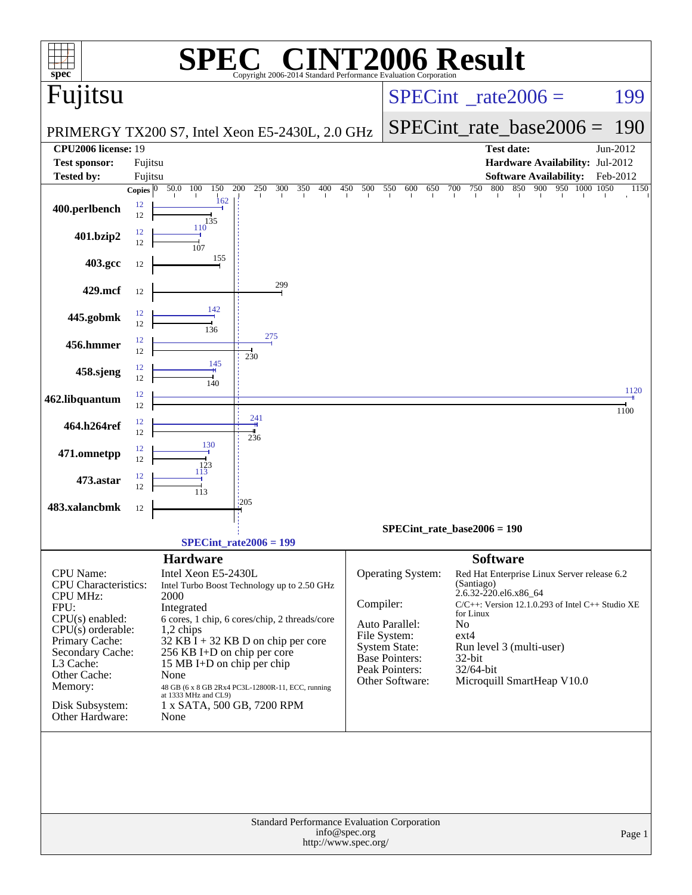| spec <sup>®</sup>                                            |          |                                                           | $\bigcap$<br>Copyright 2006-2014 Standard Performance Evaluation Corporation |            |                                      | <b>INT2006 Result</b>                                              |          |
|--------------------------------------------------------------|----------|-----------------------------------------------------------|------------------------------------------------------------------------------|------------|--------------------------------------|--------------------------------------------------------------------|----------|
| Fujitsu                                                      |          |                                                           |                                                                              |            |                                      | $SPECint^{\circ}$ rate $2006 =$                                    | 199      |
|                                                              |          |                                                           |                                                                              |            |                                      | $SPECint_rate_base2006 =$                                          | 190      |
| <b>CPU2006 license: 19</b>                                   |          |                                                           | PRIMERGY TX200 S7, Intel Xeon E5-2430L, 2.0 GHz                              |            |                                      | <b>Test date:</b>                                                  | Jun-2012 |
| <b>Test sponsor:</b>                                         | Fujitsu  |                                                           |                                                                              |            |                                      | Hardware Availability: Jul-2012                                    |          |
| <b>Tested by:</b>                                            | Fujitsu  |                                                           |                                                                              |            |                                      | <b>Software Availability:</b>                                      | Feb-2012 |
|                                                              |          | Copies $\boxed{0 - 50.0 - 100}$<br>150<br>162             | 200<br>250<br>300<br>350<br>400                                              | 450<br>500 | 550<br>600<br>650                    | 750<br>850<br>900<br>950 1000 1050<br>700<br>800                   | 1150     |
| 400.perlbench                                                | 12<br>12 | 135                                                       |                                                                              |            |                                      |                                                                    |          |
| 401.bzip2                                                    | 12<br>12 | 110<br>107                                                |                                                                              |            |                                      |                                                                    |          |
| 403.gcc                                                      | 12       | 155                                                       |                                                                              |            |                                      |                                                                    |          |
| 429.mcf                                                      | 12       |                                                           | 299                                                                          |            |                                      |                                                                    |          |
| 445.gobmk                                                    | 12       |                                                           |                                                                              |            |                                      |                                                                    |          |
|                                                              | 12<br>12 | 136                                                       | 275                                                                          |            |                                      |                                                                    |          |
| 456.hmmer                                                    | 12<br>12 | 145                                                       | 230                                                                          |            |                                      |                                                                    |          |
| 458.sjeng                                                    | 12       | 140                                                       |                                                                              |            |                                      |                                                                    | 1120     |
| 462.libquantum                                               | 12<br>12 |                                                           |                                                                              |            |                                      |                                                                    | 1100     |
| 464.h264ref                                                  | 12<br>12 |                                                           | 241<br>236                                                                   |            |                                      |                                                                    |          |
| 471.omnetpp                                                  | 12<br>12 | 130<br>123                                                |                                                                              |            |                                      |                                                                    |          |
| 473.astar                                                    | 12<br>12 | 113                                                       |                                                                              |            |                                      |                                                                    |          |
| 483.xalancbmk                                                | 12       | 113                                                       | 1205                                                                         |            |                                      |                                                                    |          |
|                                                              |          |                                                           |                                                                              |            |                                      | $SPECint_rate_base2006 = 190$                                      |          |
|                                                              |          |                                                           | $SPECint_rate2006 = 199$                                                     |            |                                      |                                                                    |          |
|                                                              |          | <b>Hardware</b>                                           |                                                                              |            |                                      | <b>Software</b>                                                    |          |
| <b>CPU</b> Name:                                             |          | Intel Xeon E5-2430L                                       |                                                                              |            | Operating System:                    | Red Hat Enterprise Linux Server release 6.2                        |          |
| <b>CPU</b> Characteristics:<br><b>CPU MHz:</b>               |          | 2000                                                      | Intel Turbo Boost Technology up to 2.50 GHz                                  |            |                                      | (Santiago)<br>2.6.32-220.el6.x86_64                                |          |
| FPU:                                                         |          | Integrated                                                |                                                                              | Compiler:  |                                      | $C/C++$ : Version 12.1.0.293 of Intel $C++$ Studio XE<br>for Linux |          |
| $CPU(s)$ enabled:<br>$CPU(s)$ orderable:                     |          | $1,2$ chips                                               | 6 cores, 1 chip, 6 cores/chip, 2 threads/core                                |            | Auto Parallel:                       | No                                                                 |          |
| Primary Cache:                                               |          |                                                           | 32 KB I + 32 KB D on chip per core                                           |            | File System:<br><b>System State:</b> | $ext{4}$<br>Run level 3 (multi-user)                               |          |
| Secondary Cache:<br>L3 Cache:                                |          | 256 KB I+D on chip per core<br>15 MB I+D on chip per chip |                                                                              |            | <b>Base Pointers:</b>                | 32-bit                                                             |          |
| Other Cache:                                                 |          | None                                                      |                                                                              |            | Peak Pointers:<br>Other Software:    | 32/64-bit                                                          |          |
| Memory:                                                      |          | at 1333 MHz and CL9)                                      | 48 GB (6 x 8 GB 2Rx4 PC3L-12800R-11, ECC, running                            |            |                                      | Microquill SmartHeap V10.0                                         |          |
| Disk Subsystem:<br>Other Hardware:                           |          | 1 x SATA, 500 GB, 7200 RPM<br>None                        |                                                                              |            |                                      |                                                                    |          |
|                                                              |          |                                                           |                                                                              |            |                                      |                                                                    |          |
|                                                              |          |                                                           |                                                                              |            |                                      |                                                                    |          |
|                                                              |          |                                                           |                                                                              |            |                                      |                                                                    |          |
|                                                              |          |                                                           |                                                                              |            |                                      |                                                                    |          |
|                                                              |          |                                                           |                                                                              |            |                                      |                                                                    |          |
| Standard Performance Evaluation Corporation<br>info@spec.org |          |                                                           |                                                                              |            |                                      |                                                                    |          |
| Page 1<br>http://www.spec.org/                               |          |                                                           |                                                                              |            |                                      |                                                                    |          |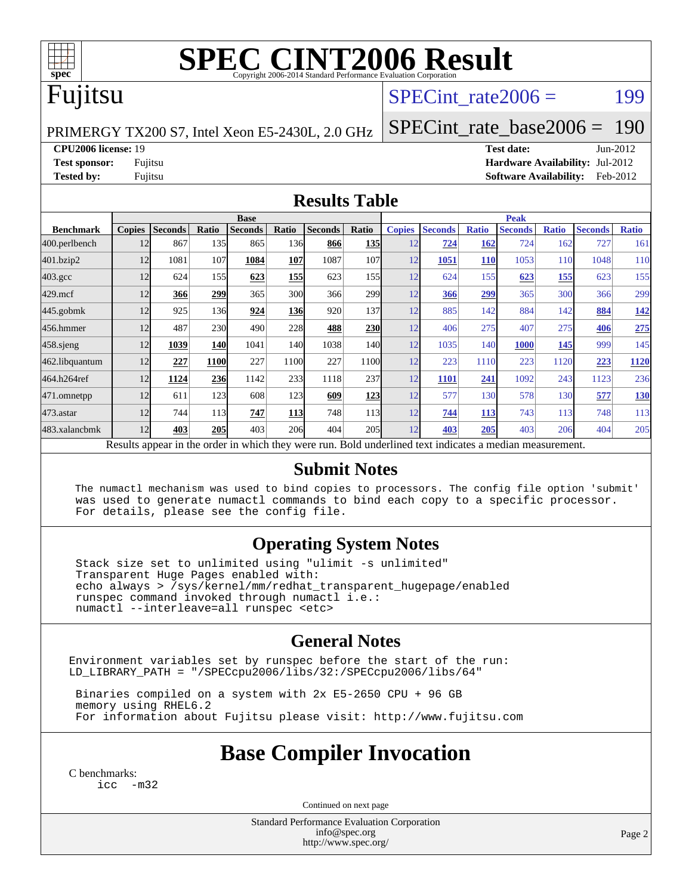

# **[SPEC CINT2006 Result](http://www.spec.org/auto/cpu2006/Docs/result-fields.html#SPECCINT2006Result)**

## Fujitsu

#### SPECint rate $2006 =$  199

PRIMERGY TX200 S7, Intel Xeon E5-2430L, 2.0 GHz

[SPECint\\_rate\\_base2006 =](http://www.spec.org/auto/cpu2006/Docs/result-fields.html#SPECintratebase2006) 190

**[CPU2006 license:](http://www.spec.org/auto/cpu2006/Docs/result-fields.html#CPU2006license)** 19 **[Test date:](http://www.spec.org/auto/cpu2006/Docs/result-fields.html#Testdate)** Jun-2012 **[Test sponsor:](http://www.spec.org/auto/cpu2006/Docs/result-fields.html#Testsponsor)** Fujitsu **[Hardware Availability:](http://www.spec.org/auto/cpu2006/Docs/result-fields.html#HardwareAvailability)** Jul-2012 **[Tested by:](http://www.spec.org/auto/cpu2006/Docs/result-fields.html#Testedby)** Fujitsu **[Software Availability:](http://www.spec.org/auto/cpu2006/Docs/result-fields.html#SoftwareAvailability)** Feb-2012

#### **[Results Table](http://www.spec.org/auto/cpu2006/Docs/result-fields.html#ResultsTable)**

|                                                                                                          | <b>Base</b>   |                |                  |                |            |                |            | <b>Peak</b>   |                |              |                |              |                |              |
|----------------------------------------------------------------------------------------------------------|---------------|----------------|------------------|----------------|------------|----------------|------------|---------------|----------------|--------------|----------------|--------------|----------------|--------------|
| <b>Benchmark</b>                                                                                         | <b>Copies</b> | <b>Seconds</b> | Ratio            | <b>Seconds</b> | Ratio      | <b>Seconds</b> | Ratio      | <b>Copies</b> | <b>Seconds</b> | <b>Ratio</b> | <b>Seconds</b> | <b>Ratio</b> | <b>Seconds</b> | <b>Ratio</b> |
| 400.perlbench                                                                                            | 12            | 867            | 135              | 865            | 136        | 866            | <b>135</b> | 12            | 724            | 162          | 724            | 162          | 727            | 161          |
| 401.bzip2                                                                                                | 12            | 1081           | 107              | 1084           | 107        | 1087           | 107        | 12            | 1051           | <b>110</b>   | 1053           | 110          | 1048           | 110          |
| $403.\mathrm{gcc}$                                                                                       | 12            | 624            | 155              | 623            | 155        | 623            | 155        | 12            | 624            | 155          | 623            | <u>155</u>   | 623            | 155          |
| $429$ .mcf                                                                                               | 12            | 366            | 299              | 365            | 300        | 366            | 299        | 12            | 366            | 299          | 365            | 300          | 366            | 299          |
| $445$ .gobmk                                                                                             | 12            | 925            | 136 <sub>l</sub> | 924            | <b>136</b> | 920            | 137        | 12            | 885            | 142          | 884            | 142          | 884            | 142          |
| 456.hmmer                                                                                                | 12            | 487            | 230              | 490            | 228        | 488            | 230        | 12            | 406            | 275          | 407            | 275          | 406            | 275          |
| $458$ .sjeng                                                                                             | 12            | 1039           | 140              | 1041           | 140I       | 1038           | 140I       | 12            | 1035           | 140          | <b>1000</b>    | 145          | 999            | 145          |
| 462.libquantum                                                                                           | 12            | 227            | 1100             | 227            | 1100       | 227            | 1100       | 12            | 223            | 1110         | 223            | 1120         | 223            | <b>1120</b>  |
| 464.h264ref                                                                                              | 12            | 1124           | 236              | 1142           | 233        | 1118           | 237        | 12            | 1101           | 241          | 1092           | 243          | 1123           | 236          |
| 471.omnetpp                                                                                              | 12            | 611            | 123              | 608            | 123I       | 609            | 123        | 12            | 577            | 130          | 578            | 130          | 577            | <b>130</b>   |
| 473.astar                                                                                                | 12            | 744            | 113              | 747            | <b>113</b> | 748            | 113        | 12            | 744            | 113          | 743            | 113          | 748            | 113          |
| 483.xalancbmk                                                                                            | 12            | 403            | 205              | 403            | 206        | 404            | 205        | 12            | 403            | 205          | 403            | 206          | 404            | 205          |
| Results appear in the order in which they were run. Bold underlined text indicates a median measurement. |               |                |                  |                |            |                |            |               |                |              |                |              |                |              |

#### **[Submit Notes](http://www.spec.org/auto/cpu2006/Docs/result-fields.html#SubmitNotes)**

 The numactl mechanism was used to bind copies to processors. The config file option 'submit' was used to generate numactl commands to bind each copy to a specific processor. For details, please see the config file.

#### **[Operating System Notes](http://www.spec.org/auto/cpu2006/Docs/result-fields.html#OperatingSystemNotes)**

 Stack size set to unlimited using "ulimit -s unlimited" Transparent Huge Pages enabled with: echo always > /sys/kernel/mm/redhat\_transparent\_hugepage/enabled runspec command invoked through numactl i.e.: numactl --interleave=all runspec <etc>

#### **[General Notes](http://www.spec.org/auto/cpu2006/Docs/result-fields.html#GeneralNotes)**

Environment variables set by runspec before the start of the run: LD\_LIBRARY\_PATH = "/SPECcpu2006/libs/32:/SPECcpu2006/libs/64"

 Binaries compiled on a system with 2x E5-2650 CPU + 96 GB memory using RHEL6.2 For information about Fujitsu please visit: <http://www.fujitsu.com>

#### **[Base Compiler Invocation](http://www.spec.org/auto/cpu2006/Docs/result-fields.html#BaseCompilerInvocation)**

[C benchmarks](http://www.spec.org/auto/cpu2006/Docs/result-fields.html#Cbenchmarks): [icc -m32](http://www.spec.org/cpu2006/results/res2012q3/cpu2006-20120810-24147.flags.html#user_CCbase_intel_icc_5ff4a39e364c98233615fdd38438c6f2)

Continued on next page

Standard Performance Evaluation Corporation [info@spec.org](mailto:info@spec.org) <http://www.spec.org/>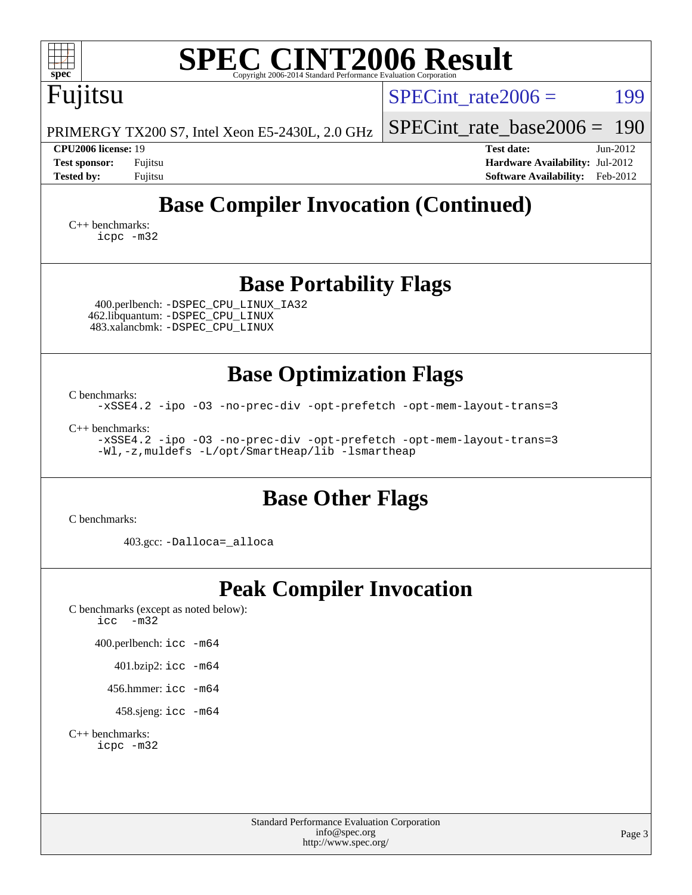| <b>SPEC CINT2006 Result</b><br>$\mathbf{Spec}^*$<br>Copyright 2006-2014 Standard Performance Evaluation Co                                       |                                                                                                                 |
|--------------------------------------------------------------------------------------------------------------------------------------------------|-----------------------------------------------------------------------------------------------------------------|
| Fujitsu                                                                                                                                          | $SPECint_rate2006 =$<br>199                                                                                     |
| PRIMERGY TX200 S7, Intel Xeon E5-2430L, 2.0 GHz                                                                                                  | 190<br>$SPECint_rate_base2006 =$                                                                                |
| CPU2006 license: 19<br><b>Test sponsor:</b><br>Fujitsu<br><b>Tested by:</b><br>Fujitsu                                                           | <b>Test date:</b><br>$Jun-2012$<br>Hardware Availability: Jul-2012<br><b>Software Availability:</b><br>Feb-2012 |
| <b>Base Compiler Invocation (Continued)</b>                                                                                                      |                                                                                                                 |
| $C_{++}$ benchmarks:<br>icpc -m32                                                                                                                |                                                                                                                 |
| <b>Base Portability Flags</b>                                                                                                                    |                                                                                                                 |
| 400.perlbench: - DSPEC CPU LINUX IA32<br>462.libquantum: -DSPEC_CPU_LINUX<br>483.xalancbmk: -DSPEC_CPU_LINUX                                     |                                                                                                                 |
| <b>Base Optimization Flags</b>                                                                                                                   |                                                                                                                 |
| C benchmarks:<br>-xSSE4.2 -ipo -03 -no-prec-div -opt-prefetch -opt-mem-layout-trans=3                                                            |                                                                                                                 |
| $C_{++}$ benchmarks:<br>-xSSE4.2 -ipo -03 -no-prec-div -opt-prefetch -opt-mem-layout-trans=3<br>-Wl,-z, muldefs -L/opt/SmartHeap/lib -lsmartheap |                                                                                                                 |
| <b>Base Other Flags</b><br>C benchmarks:                                                                                                         |                                                                                                                 |
| 403.gcc: -Dalloca=_alloca                                                                                                                        |                                                                                                                 |
| <b>Peak Compiler Invocation</b><br>C benchmarks (except as noted below):<br>icc<br>$-m32$                                                        |                                                                                                                 |
| 400.perlbench: icc -m64                                                                                                                          |                                                                                                                 |
| 401.bzip2: icc -m64                                                                                                                              |                                                                                                                 |
| 456.hmmer: $\text{icc}$ -m64                                                                                                                     |                                                                                                                 |
| 458.sjeng: icc -m64                                                                                                                              |                                                                                                                 |
| $C_{++}$ benchmarks:<br>icpc -m32                                                                                                                |                                                                                                                 |
| <b>Standard Performance Evaluation Corporation</b><br>info@spec.org<br>http://www.spec.org/                                                      | Page 3                                                                                                          |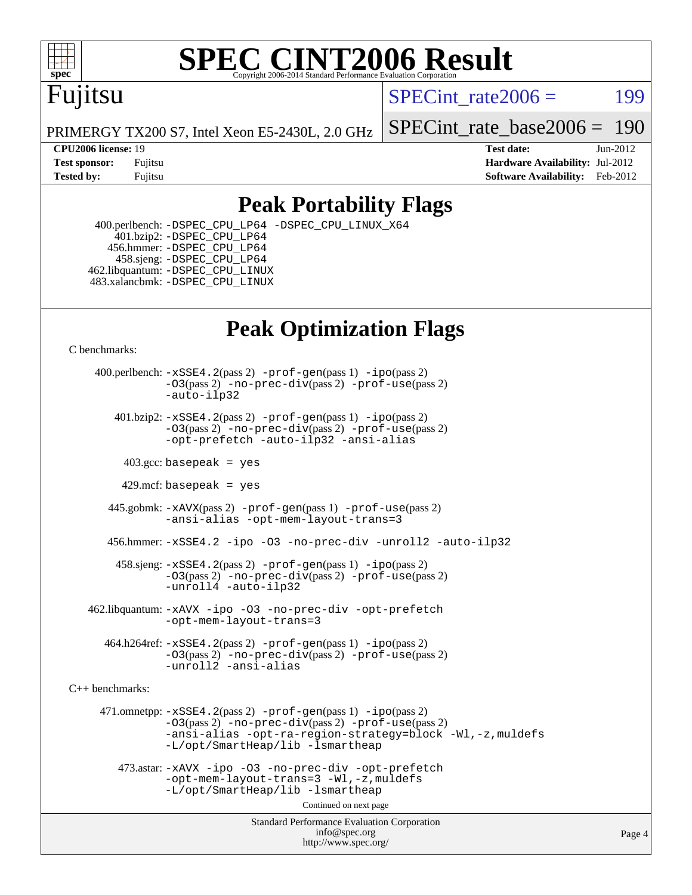

# **[SPEC CINT2006 Result](http://www.spec.org/auto/cpu2006/Docs/result-fields.html#SPECCINT2006Result)**

# Fujitsu

SPECint rate $2006 =$  199

PRIMERGY TX200 S7, Intel Xeon E5-2430L, 2.0 GHz

[SPECint\\_rate\\_base2006 =](http://www.spec.org/auto/cpu2006/Docs/result-fields.html#SPECintratebase2006) 190

**[CPU2006 license:](http://www.spec.org/auto/cpu2006/Docs/result-fields.html#CPU2006license)** 19 **[Test date:](http://www.spec.org/auto/cpu2006/Docs/result-fields.html#Testdate)** Jun-2012 **[Test sponsor:](http://www.spec.org/auto/cpu2006/Docs/result-fields.html#Testsponsor)** Fujitsu **[Hardware Availability:](http://www.spec.org/auto/cpu2006/Docs/result-fields.html#HardwareAvailability)** Jul-2012 **[Tested by:](http://www.spec.org/auto/cpu2006/Docs/result-fields.html#Testedby)** Fujitsu **Fugital Example 2012 [Software Availability:](http://www.spec.org/auto/cpu2006/Docs/result-fields.html#SoftwareAvailability)** Feb-2012

#### **[Peak Portability Flags](http://www.spec.org/auto/cpu2006/Docs/result-fields.html#PeakPortabilityFlags)**

 400.perlbench: [-DSPEC\\_CPU\\_LP64](http://www.spec.org/cpu2006/results/res2012q3/cpu2006-20120810-24147.flags.html#b400.perlbench_peakCPORTABILITY_DSPEC_CPU_LP64) [-DSPEC\\_CPU\\_LINUX\\_X64](http://www.spec.org/cpu2006/results/res2012q3/cpu2006-20120810-24147.flags.html#b400.perlbench_peakCPORTABILITY_DSPEC_CPU_LINUX_X64)  $401.bzip2: -DSPEC_CPULP64$  456.hmmer: [-DSPEC\\_CPU\\_LP64](http://www.spec.org/cpu2006/results/res2012q3/cpu2006-20120810-24147.flags.html#suite_peakCPORTABILITY456_hmmer_DSPEC_CPU_LP64) 458.sjeng: [-DSPEC\\_CPU\\_LP64](http://www.spec.org/cpu2006/results/res2012q3/cpu2006-20120810-24147.flags.html#suite_peakCPORTABILITY458_sjeng_DSPEC_CPU_LP64) 462.libquantum: [-DSPEC\\_CPU\\_LINUX](http://www.spec.org/cpu2006/results/res2012q3/cpu2006-20120810-24147.flags.html#b462.libquantum_peakCPORTABILITY_DSPEC_CPU_LINUX) 483.xalancbmk: [-DSPEC\\_CPU\\_LINUX](http://www.spec.org/cpu2006/results/res2012q3/cpu2006-20120810-24147.flags.html#b483.xalancbmk_peakCXXPORTABILITY_DSPEC_CPU_LINUX)

## **[Peak Optimization Flags](http://www.spec.org/auto/cpu2006/Docs/result-fields.html#PeakOptimizationFlags)**

[C benchmarks](http://www.spec.org/auto/cpu2006/Docs/result-fields.html#Cbenchmarks):

 400.perlbench: [-xSSE4.2](http://www.spec.org/cpu2006/results/res2012q3/cpu2006-20120810-24147.flags.html#user_peakPASS2_CFLAGSPASS2_LDCFLAGS400_perlbench_f-xSSE42_f91528193cf0b216347adb8b939d4107)(pass 2) [-prof-gen](http://www.spec.org/cpu2006/results/res2012q3/cpu2006-20120810-24147.flags.html#user_peakPASS1_CFLAGSPASS1_LDCFLAGS400_perlbench_prof_gen_e43856698f6ca7b7e442dfd80e94a8fc)(pass 1) [-ipo](http://www.spec.org/cpu2006/results/res2012q3/cpu2006-20120810-24147.flags.html#user_peakPASS2_CFLAGSPASS2_LDCFLAGS400_perlbench_f-ipo)(pass 2) [-O3](http://www.spec.org/cpu2006/results/res2012q3/cpu2006-20120810-24147.flags.html#user_peakPASS2_CFLAGSPASS2_LDCFLAGS400_perlbench_f-O3)(pass 2) [-no-prec-div](http://www.spec.org/cpu2006/results/res2012q3/cpu2006-20120810-24147.flags.html#user_peakPASS2_CFLAGSPASS2_LDCFLAGS400_perlbench_f-no-prec-div)(pass 2) [-prof-use](http://www.spec.org/cpu2006/results/res2012q3/cpu2006-20120810-24147.flags.html#user_peakPASS2_CFLAGSPASS2_LDCFLAGS400_perlbench_prof_use_bccf7792157ff70d64e32fe3e1250b55)(pass 2) [-auto-ilp32](http://www.spec.org/cpu2006/results/res2012q3/cpu2006-20120810-24147.flags.html#user_peakCOPTIMIZE400_perlbench_f-auto-ilp32)  $401.bzip2: -xSSE4.2(pass 2) -prof-qen(pass 1) -ipo(pass 2)$  $401.bzip2: -xSSE4.2(pass 2) -prof-qen(pass 1) -ipo(pass 2)$  $401.bzip2: -xSSE4.2(pass 2) -prof-qen(pass 1) -ipo(pass 2)$  $401.bzip2: -xSSE4.2(pass 2) -prof-qen(pass 1) -ipo(pass 2)$  $401.bzip2: -xSSE4.2(pass 2) -prof-qen(pass 1) -ipo(pass 2)$ [-O3](http://www.spec.org/cpu2006/results/res2012q3/cpu2006-20120810-24147.flags.html#user_peakPASS2_CFLAGSPASS2_LDCFLAGS401_bzip2_f-O3)(pass 2) [-no-prec-div](http://www.spec.org/cpu2006/results/res2012q3/cpu2006-20120810-24147.flags.html#user_peakPASS2_CFLAGSPASS2_LDCFLAGS401_bzip2_f-no-prec-div)(pass 2) [-prof-use](http://www.spec.org/cpu2006/results/res2012q3/cpu2006-20120810-24147.flags.html#user_peakPASS2_CFLAGSPASS2_LDCFLAGS401_bzip2_prof_use_bccf7792157ff70d64e32fe3e1250b55)(pass 2) [-opt-prefetch](http://www.spec.org/cpu2006/results/res2012q3/cpu2006-20120810-24147.flags.html#user_peakCOPTIMIZE401_bzip2_f-opt-prefetch) [-auto-ilp32](http://www.spec.org/cpu2006/results/res2012q3/cpu2006-20120810-24147.flags.html#user_peakCOPTIMIZE401_bzip2_f-auto-ilp32) [-ansi-alias](http://www.spec.org/cpu2006/results/res2012q3/cpu2006-20120810-24147.flags.html#user_peakCOPTIMIZE401_bzip2_f-ansi-alias)  $403.\text{sec: basepeak}$  = yes 429.mcf: basepeak = yes 445.gobmk: [-xAVX](http://www.spec.org/cpu2006/results/res2012q3/cpu2006-20120810-24147.flags.html#user_peakPASS2_CFLAGSPASS2_LDCFLAGS445_gobmk_f-xAVX)(pass 2) [-prof-gen](http://www.spec.org/cpu2006/results/res2012q3/cpu2006-20120810-24147.flags.html#user_peakPASS1_CFLAGSPASS1_LDCFLAGS445_gobmk_prof_gen_e43856698f6ca7b7e442dfd80e94a8fc)(pass 1) [-prof-use](http://www.spec.org/cpu2006/results/res2012q3/cpu2006-20120810-24147.flags.html#user_peakPASS2_CFLAGSPASS2_LDCFLAGS445_gobmk_prof_use_bccf7792157ff70d64e32fe3e1250b55)(pass 2) [-ansi-alias](http://www.spec.org/cpu2006/results/res2012q3/cpu2006-20120810-24147.flags.html#user_peakCOPTIMIZE445_gobmk_f-ansi-alias) [-opt-mem-layout-trans=3](http://www.spec.org/cpu2006/results/res2012q3/cpu2006-20120810-24147.flags.html#user_peakCOPTIMIZE445_gobmk_f-opt-mem-layout-trans_a7b82ad4bd7abf52556d4961a2ae94d5) 456.hmmer: [-xSSE4.2](http://www.spec.org/cpu2006/results/res2012q3/cpu2006-20120810-24147.flags.html#user_peakCOPTIMIZE456_hmmer_f-xSSE42_f91528193cf0b216347adb8b939d4107) [-ipo](http://www.spec.org/cpu2006/results/res2012q3/cpu2006-20120810-24147.flags.html#user_peakCOPTIMIZE456_hmmer_f-ipo) [-O3](http://www.spec.org/cpu2006/results/res2012q3/cpu2006-20120810-24147.flags.html#user_peakCOPTIMIZE456_hmmer_f-O3) [-no-prec-div](http://www.spec.org/cpu2006/results/res2012q3/cpu2006-20120810-24147.flags.html#user_peakCOPTIMIZE456_hmmer_f-no-prec-div) [-unroll2](http://www.spec.org/cpu2006/results/res2012q3/cpu2006-20120810-24147.flags.html#user_peakCOPTIMIZE456_hmmer_f-unroll_784dae83bebfb236979b41d2422d7ec2) [-auto-ilp32](http://www.spec.org/cpu2006/results/res2012q3/cpu2006-20120810-24147.flags.html#user_peakCOPTIMIZE456_hmmer_f-auto-ilp32) 458.sjeng: [-xSSE4.2](http://www.spec.org/cpu2006/results/res2012q3/cpu2006-20120810-24147.flags.html#user_peakPASS2_CFLAGSPASS2_LDCFLAGS458_sjeng_f-xSSE42_f91528193cf0b216347adb8b939d4107)(pass 2) [-prof-gen](http://www.spec.org/cpu2006/results/res2012q3/cpu2006-20120810-24147.flags.html#user_peakPASS1_CFLAGSPASS1_LDCFLAGS458_sjeng_prof_gen_e43856698f6ca7b7e442dfd80e94a8fc)(pass 1) [-ipo](http://www.spec.org/cpu2006/results/res2012q3/cpu2006-20120810-24147.flags.html#user_peakPASS2_CFLAGSPASS2_LDCFLAGS458_sjeng_f-ipo)(pass 2) [-O3](http://www.spec.org/cpu2006/results/res2012q3/cpu2006-20120810-24147.flags.html#user_peakPASS2_CFLAGSPASS2_LDCFLAGS458_sjeng_f-O3)(pass 2) [-no-prec-div](http://www.spec.org/cpu2006/results/res2012q3/cpu2006-20120810-24147.flags.html#user_peakPASS2_CFLAGSPASS2_LDCFLAGS458_sjeng_f-no-prec-div)(pass 2) [-prof-use](http://www.spec.org/cpu2006/results/res2012q3/cpu2006-20120810-24147.flags.html#user_peakPASS2_CFLAGSPASS2_LDCFLAGS458_sjeng_prof_use_bccf7792157ff70d64e32fe3e1250b55)(pass 2) [-unroll4](http://www.spec.org/cpu2006/results/res2012q3/cpu2006-20120810-24147.flags.html#user_peakCOPTIMIZE458_sjeng_f-unroll_4e5e4ed65b7fd20bdcd365bec371b81f) [-auto-ilp32](http://www.spec.org/cpu2006/results/res2012q3/cpu2006-20120810-24147.flags.html#user_peakCOPTIMIZE458_sjeng_f-auto-ilp32) 462.libquantum: [-xAVX](http://www.spec.org/cpu2006/results/res2012q3/cpu2006-20120810-24147.flags.html#user_peakCOPTIMIZE462_libquantum_f-xAVX) [-ipo](http://www.spec.org/cpu2006/results/res2012q3/cpu2006-20120810-24147.flags.html#user_peakCOPTIMIZE462_libquantum_f-ipo) [-O3](http://www.spec.org/cpu2006/results/res2012q3/cpu2006-20120810-24147.flags.html#user_peakCOPTIMIZE462_libquantum_f-O3) [-no-prec-div](http://www.spec.org/cpu2006/results/res2012q3/cpu2006-20120810-24147.flags.html#user_peakCOPTIMIZE462_libquantum_f-no-prec-div) [-opt-prefetch](http://www.spec.org/cpu2006/results/res2012q3/cpu2006-20120810-24147.flags.html#user_peakCOPTIMIZE462_libquantum_f-opt-prefetch) [-opt-mem-layout-trans=3](http://www.spec.org/cpu2006/results/res2012q3/cpu2006-20120810-24147.flags.html#user_peakCOPTIMIZE462_libquantum_f-opt-mem-layout-trans_a7b82ad4bd7abf52556d4961a2ae94d5)

 $464.h264$ ref:  $-xSSE4$ .  $2(pass 2)$  [-prof-gen](http://www.spec.org/cpu2006/results/res2012q3/cpu2006-20120810-24147.flags.html#user_peakPASS1_CFLAGSPASS1_LDCFLAGS464_h264ref_prof_gen_e43856698f6ca7b7e442dfd80e94a8fc) $(pass 1)$  [-ipo](http://www.spec.org/cpu2006/results/res2012q3/cpu2006-20120810-24147.flags.html#user_peakPASS2_CFLAGSPASS2_LDCFLAGS464_h264ref_f-ipo) $(pass 2)$ [-O3](http://www.spec.org/cpu2006/results/res2012q3/cpu2006-20120810-24147.flags.html#user_peakPASS2_CFLAGSPASS2_LDCFLAGS464_h264ref_f-O3)(pass 2) [-no-prec-div](http://www.spec.org/cpu2006/results/res2012q3/cpu2006-20120810-24147.flags.html#user_peakPASS2_CFLAGSPASS2_LDCFLAGS464_h264ref_f-no-prec-div)(pass 2) [-prof-use](http://www.spec.org/cpu2006/results/res2012q3/cpu2006-20120810-24147.flags.html#user_peakPASS2_CFLAGSPASS2_LDCFLAGS464_h264ref_prof_use_bccf7792157ff70d64e32fe3e1250b55)(pass 2) [-unroll2](http://www.spec.org/cpu2006/results/res2012q3/cpu2006-20120810-24147.flags.html#user_peakCOPTIMIZE464_h264ref_f-unroll_784dae83bebfb236979b41d2422d7ec2) [-ansi-alias](http://www.spec.org/cpu2006/results/res2012q3/cpu2006-20120810-24147.flags.html#user_peakCOPTIMIZE464_h264ref_f-ansi-alias)

[C++ benchmarks:](http://www.spec.org/auto/cpu2006/Docs/result-fields.html#CXXbenchmarks)

 471.omnetpp: [-xSSE4.2](http://www.spec.org/cpu2006/results/res2012q3/cpu2006-20120810-24147.flags.html#user_peakPASS2_CXXFLAGSPASS2_LDCXXFLAGS471_omnetpp_f-xSSE42_f91528193cf0b216347adb8b939d4107)(pass 2) [-prof-gen](http://www.spec.org/cpu2006/results/res2012q3/cpu2006-20120810-24147.flags.html#user_peakPASS1_CXXFLAGSPASS1_LDCXXFLAGS471_omnetpp_prof_gen_e43856698f6ca7b7e442dfd80e94a8fc)(pass 1) [-ipo](http://www.spec.org/cpu2006/results/res2012q3/cpu2006-20120810-24147.flags.html#user_peakPASS2_CXXFLAGSPASS2_LDCXXFLAGS471_omnetpp_f-ipo)(pass 2) [-O3](http://www.spec.org/cpu2006/results/res2012q3/cpu2006-20120810-24147.flags.html#user_peakPASS2_CXXFLAGSPASS2_LDCXXFLAGS471_omnetpp_f-O3)(pass 2) [-no-prec-div](http://www.spec.org/cpu2006/results/res2012q3/cpu2006-20120810-24147.flags.html#user_peakPASS2_CXXFLAGSPASS2_LDCXXFLAGS471_omnetpp_f-no-prec-div)(pass 2) [-prof-use](http://www.spec.org/cpu2006/results/res2012q3/cpu2006-20120810-24147.flags.html#user_peakPASS2_CXXFLAGSPASS2_LDCXXFLAGS471_omnetpp_prof_use_bccf7792157ff70d64e32fe3e1250b55)(pass 2) [-ansi-alias](http://www.spec.org/cpu2006/results/res2012q3/cpu2006-20120810-24147.flags.html#user_peakCXXOPTIMIZE471_omnetpp_f-ansi-alias) [-opt-ra-region-strategy=block](http://www.spec.org/cpu2006/results/res2012q3/cpu2006-20120810-24147.flags.html#user_peakCXXOPTIMIZE471_omnetpp_f-opt-ra-region-strategy_a0a37c372d03933b2a18d4af463c1f69) [-Wl,-z,muldefs](http://www.spec.org/cpu2006/results/res2012q3/cpu2006-20120810-24147.flags.html#user_peakEXTRA_LDFLAGS471_omnetpp_link_force_multiple1_74079c344b956b9658436fd1b6dd3a8a) [-L/opt/SmartHeap/lib -lsmartheap](http://www.spec.org/cpu2006/results/res2012q3/cpu2006-20120810-24147.flags.html#user_peakEXTRA_LIBS471_omnetpp_SmartHeap_1046f488ce4b4d9d2689b01742ccb999)

 473.astar: [-xAVX](http://www.spec.org/cpu2006/results/res2012q3/cpu2006-20120810-24147.flags.html#user_peakCXXOPTIMIZE473_astar_f-xAVX) [-ipo](http://www.spec.org/cpu2006/results/res2012q3/cpu2006-20120810-24147.flags.html#user_peakCXXOPTIMIZE473_astar_f-ipo) [-O3](http://www.spec.org/cpu2006/results/res2012q3/cpu2006-20120810-24147.flags.html#user_peakCXXOPTIMIZE473_astar_f-O3) [-no-prec-div](http://www.spec.org/cpu2006/results/res2012q3/cpu2006-20120810-24147.flags.html#user_peakCXXOPTIMIZE473_astar_f-no-prec-div) [-opt-prefetch](http://www.spec.org/cpu2006/results/res2012q3/cpu2006-20120810-24147.flags.html#user_peakCXXOPTIMIZE473_astar_f-opt-prefetch) [-opt-mem-layout-trans=3](http://www.spec.org/cpu2006/results/res2012q3/cpu2006-20120810-24147.flags.html#user_peakCXXOPTIMIZE473_astar_f-opt-mem-layout-trans_a7b82ad4bd7abf52556d4961a2ae94d5) [-Wl,-z,muldefs](http://www.spec.org/cpu2006/results/res2012q3/cpu2006-20120810-24147.flags.html#user_peakEXTRA_LDFLAGS473_astar_link_force_multiple1_74079c344b956b9658436fd1b6dd3a8a) [-L/opt/SmartHeap/lib -lsmartheap](http://www.spec.org/cpu2006/results/res2012q3/cpu2006-20120810-24147.flags.html#user_peakEXTRA_LIBS473_astar_SmartHeap_1046f488ce4b4d9d2689b01742ccb999)

Continued on next page

Standard Performance Evaluation Corporation [info@spec.org](mailto:info@spec.org) <http://www.spec.org/>

Page 4